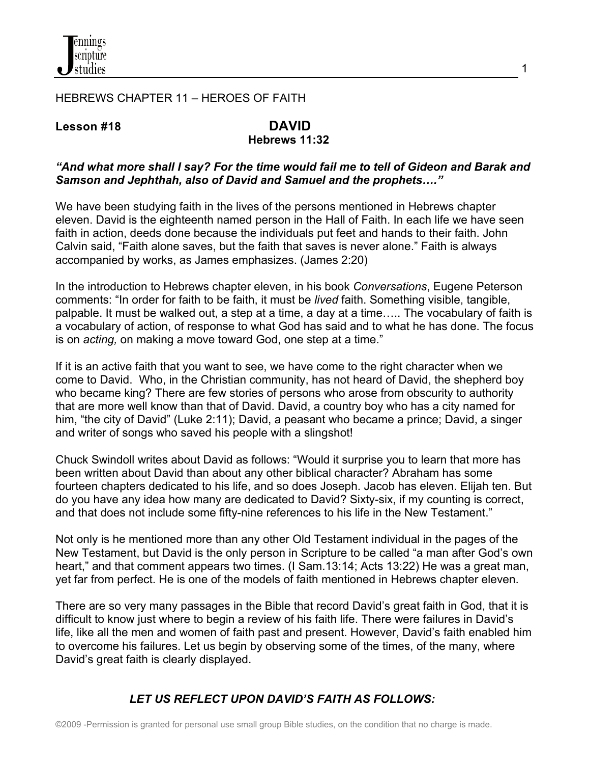

#### HEBREWS CHAPTER 11 – HEROES OF FAITH

#### **Lesson #18****DAVID**

# **Hebrews 11:32**

#### *"And what more shall I say? For the time would fail me to tell of Gideon and Barak and Samson and Jephthah, also of David and Samuel and the prophets…."*

We have been studying faith in the lives of the persons mentioned in Hebrews chapter eleven. David is the eighteenth named person in the Hall of Faith. In each life we have seen faith in action, deeds done because the individuals put feet and hands to their faith. John Calvin said, "Faith alone saves, but the faith that saves is never alone." Faith is always accompanied by works, as James emphasizes. (James 2:20)

In the introduction to Hebrews chapter eleven, in his book *Conversations*, Eugene Peterson comments: "In order for faith to be faith, it must be *lived* faith. Something visible, tangible, palpable. It must be walked out, a step at a time, a day at a time….. The vocabulary of faith is a vocabulary of action, of response to what God has said and to what he has done. The focus is on *acting,* on making a move toward God, one step at a time."

If it is an active faith that you want to see, we have come to the right character when we come to David. Who, in the Christian community, has not heard of David, the shepherd boy who became king? There are few stories of persons who arose from obscurity to authority that are more well know than that of David. David, a country boy who has a city named for him, "the city of David" (Luke 2:11); David, a peasant who became a prince; David, a singer and writer of songs who saved his people with a slingshot!

Chuck Swindoll writes about David as follows: "Would it surprise you to learn that more has been written about David than about any other biblical character? Abraham has some fourteen chapters dedicated to his life, and so does Joseph. Jacob has eleven. Elijah ten. But do you have any idea how many are dedicated to David? Sixty-six, if my counting is correct, and that does not include some fifty-nine references to his life in the New Testament."

Not only is he mentioned more than any other Old Testament individual in the pages of the New Testament, but David is the only person in Scripture to be called "a man after God's own heart," and that comment appears two times. (I Sam.13:14; Acts 13:22) He was a great man, yet far from perfect. He is one of the models of faith mentioned in Hebrews chapter eleven.

There are so very many passages in the Bible that record David's great faith in God, that it is difficult to know just where to begin a review of his faith life. There were failures in David's life, like all the men and women of faith past and present. However, David's faith enabled him to overcome his failures. Let us begin by observing some of the times, of the many, where David's great faith is clearly displayed.

# *LET US REFLECT UPON DAVID'S FAITH AS FOLLOWS:*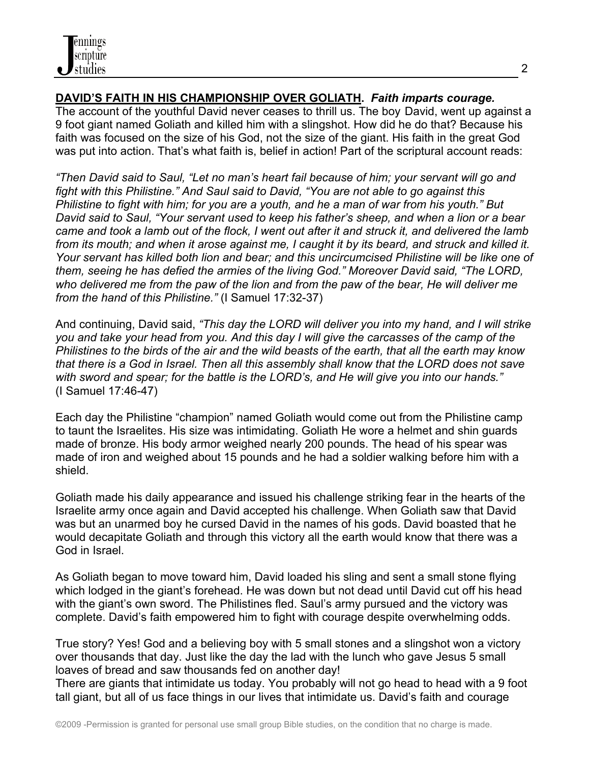# **DAVID'S FAITH IN HIS CHAMPIONSHIP OVER GOLIATH.** *Faith imparts courage.*

The account of the youthful David never ceases to thrill us. The boy David, went up against a 9 foot giant named Goliath and killed him with a slingshot. How did he do that? Because his faith was focused on the size of his God, not the size of the giant. His faith in the great God was put into action. That's what faith is, belief in action! Part of the scriptural account reads:

*"Then David said to Saul, "Let no man's heart fail because of him; your servant will go and fight with this Philistine." And Saul said to David, "You are not able to go against this Philistine to fight with him; for you are a youth, and he a man of war from his youth." But David said to Saul, "Your servant used to keep his father's sheep, and when a lion or a bear came and took a lamb out of the flock, I went out after it and struck it, and delivered the lamb from its mouth; and when it arose against me, I caught it by its beard, and struck and killed it. Your servant has killed both lion and bear; and this uncircumcised Philistine will be like one of them, seeing he has defied the armies of the living God." Moreover David said, "The LORD, who delivered me from the paw of the lion and from the paw of the bear, He will deliver me from the hand of this Philistine."* (I Samuel 17:32-37)

And continuing, David said, *"This day the LORD will deliver you into my hand, and I will strike you and take your head from you. And this day I will give the carcasses of the camp of the Philistines to the birds of the air and the wild beasts of the earth, that all the earth may know that there is a God in Israel. Then all this assembly shall know that the LORD does not save with sword and spear; for the battle is the LORD's, and He will give you into our hands."*  (I Samuel 17:46-47)

Each day the Philistine "champion" named Goliath would come out from the Philistine camp to taunt the Israelites. His size was intimidating. Goliath He wore a helmet and shin guards made of bronze. His body armor weighed nearly 200 pounds. The head of his spear was made of iron and weighed about 15 pounds and he had a soldier walking before him with a shield.

Goliath made his daily appearance and issued his challenge striking fear in the hearts of the Israelite army once again and David accepted his challenge. When Goliath saw that David was but an unarmed boy he cursed David in the names of his gods. David boasted that he would decapitate Goliath and through this victory all the earth would know that there was a God in Israel.

As Goliath began to move toward him, David loaded his sling and sent a small stone flying which lodged in the giant's forehead. He was down but not dead until David cut off his head with the giant's own sword. The Philistines fled. Saul's army pursued and the victory was complete. David's faith empowered him to fight with courage despite overwhelming odds.

True story? Yes! God and a believing boy with 5 small stones and a slingshot won a victory over thousands that day. Just like the day the lad with the lunch who gave Jesus 5 small loaves of bread and saw thousands fed on another day!

There are giants that intimidate us today. You probably will not go head to head with a 9 foot tall giant, but all of us face things in our lives that intimidate us. David's faith and courage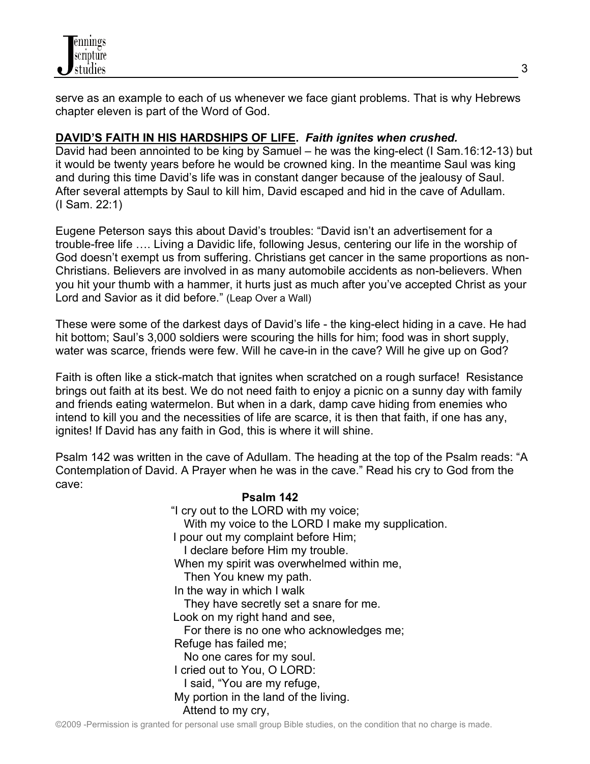

serve as an example to each of us whenever we face giant problems. That is why Hebrews chapter eleven is part of the Word of God.

### **DAVID'S FAITH IN HIS HARDSHIPS OF LIFE.** *Faith ignites when crushed.*

David had been annointed to be king by Samuel – he was the king-elect (I Sam.16:12-13) but it would be twenty years before he would be crowned king. In the meantime Saul was king and during this time David's life was in constant danger because of the jealousy of Saul. After several attempts by Saul to kill him, David escaped and hid in the cave of Adullam. (I Sam. 22:1)

Eugene Peterson says this about David's troubles: "David isn't an advertisement for a trouble-free life …. Living a Davidic life, following Jesus, centering our life in the worship of God doesn't exempt us from suffering. Christians get cancer in the same proportions as non-Christians. Believers are involved in as many automobile accidents as non-believers. When you hit your thumb with a hammer, it hurts just as much after you've accepted Christ as your Lord and Savior as it did before." (Leap Over a Wall)

These were some of the darkest days of David's life - the king-elect hiding in a cave. He had hit bottom; Saul's 3,000 soldiers were scouring the hills for him; food was in short supply, water was scarce, friends were few. Will he cave-in in the cave? Will he give up on God?

Faith is often like a stick-match that ignites when scratched on a rough surface! Resistance brings out faith at its best. We do not need faith to enjoy a picnic on a sunny day with family and friends eating watermelon. But when in a dark, damp cave hiding from enemies who intend to kill you and the necessities of life are scarce, it is then that faith, if one has any, ignites! If David has any faith in God, this is where it will shine.

Psalm 142 was written in the cave of Adullam. The heading at the top of the Psalm reads: "A Contemplation of David. A Prayer when he was in the cave." Read his cry to God from the cave:

 **Psalm 142** "I cry out to the LORD with my voice; With my voice to the LORD I make my supplication. I pour out my complaint before Him; I declare before Him my trouble. When my spirit was overwhelmed within me, Then You knew my path. In the way in which I walk They have secretly set a snare for me. Look on my right hand and see, For there is no one who acknowledges me; Refuge has failed me; No one cares for my soul. I cried out to You, O LORD: I said, "You are my refuge, My portion in the land of the living. Attend to my cry,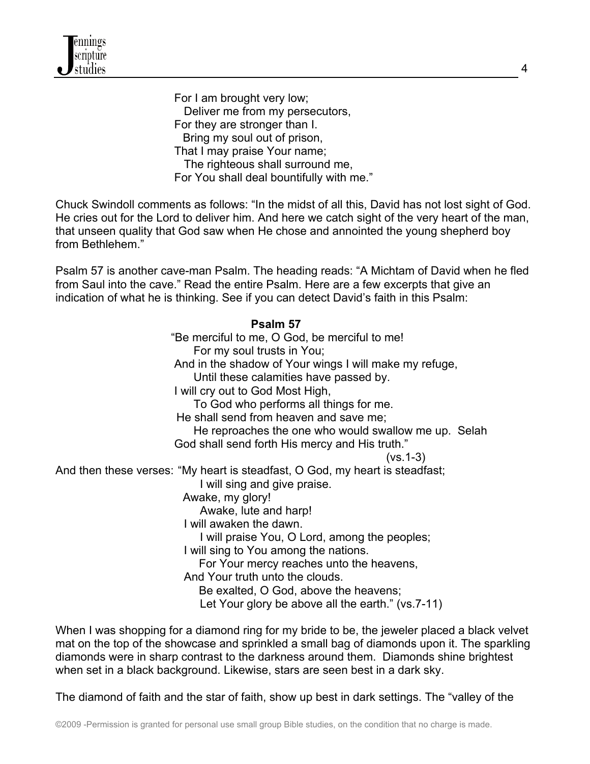

 For I am brought very low; Deliver me from my persecutors, For they are stronger than I. Bring my soul out of prison, That I may praise Your name; The righteous shall surround me, For You shall deal bountifully with me."

Chuck Swindoll comments as follows: "In the midst of all this, David has not lost sight of God. He cries out for the Lord to deliver him. And here we catch sight of the very heart of the man, that unseen quality that God saw when He chose and annointed the young shepherd boy from Bethlehem."

Psalm 57 is another cave-man Psalm. The heading reads: "A Michtam of David when he fled from Saul into the cave." Read the entire Psalm. Here are a few excerpts that give an indication of what he is thinking. See if you can detect David's faith in this Psalm:

 **Psalm 57** "Be merciful to me, O God, be merciful to me! For my soul trusts in You; And in the shadow of Your wings I will make my refuge, Until these calamities have passed by. I will cry out to God Most High, To God who performs all things for me. He shall send from heaven and save me; He reproaches the one who would swallow me up. Selah God shall send forth His mercy and His truth."  $(vs.1-3)$ And then these verses: "My heart is steadfast, O God, my heart is steadfast; I will sing and give praise. Awake, my glory! Awake, lute and harp! I will awaken the dawn. I will praise You, O Lord, among the peoples; I will sing to You among the nations. For Your mercy reaches unto the heavens, And Your truth unto the clouds. Be exalted, O God, above the heavens; Let Your glory be above all the earth." (vs.7-11)

When I was shopping for a diamond ring for my bride to be, the jeweler placed a black velvet mat on the top of the showcase and sprinkled a small bag of diamonds upon it. The sparkling diamonds were in sharp contrast to the darkness around them. Diamonds shine brightest when set in a black background. Likewise, stars are seen best in a dark sky.

The diamond of faith and the star of faith, show up best in dark settings. The "valley of the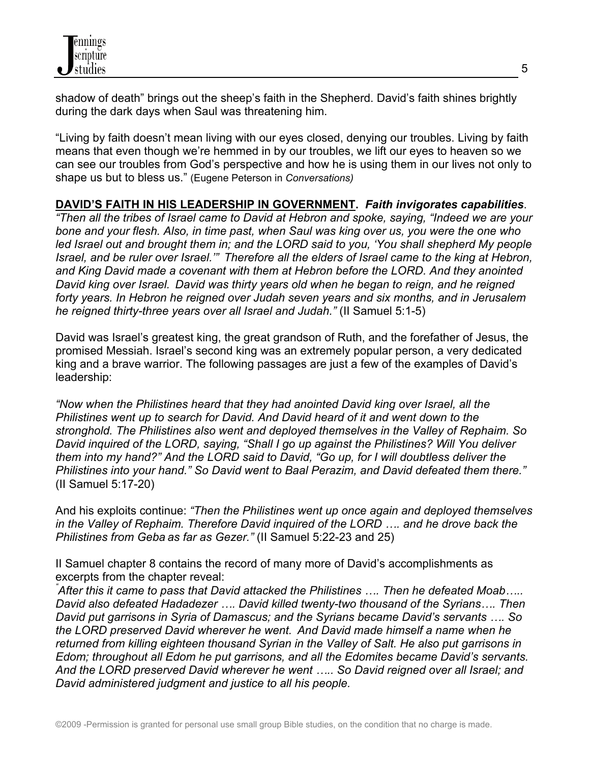shadow of death" brings out the sheep's faith in the Shepherd. David's faith shines brightly during the dark days when Saul was threatening him.

"Living by faith doesn't mean living with our eyes closed, denying our troubles. Living by faith means that even though we're hemmed in by our troubles, we lift our eyes to heaven so we can see our troubles from God's perspective and how he is using them in our lives not only to shape us but to bless us." (Eugene Peterson in *Conversations)*

# **DAVID'S FAITH IN HIS LEADERSHIP IN GOVERNMENT.** *Faith invigorates capabilities*.

*"Then all the tribes of Israel came to David at Hebron and spoke, saying, "Indeed we are your bone and your flesh. Also, in time past, when Saul was king over us, you were the one who led Israel out and brought them in; and the LORD said to you, 'You shall shepherd My people Israel, and be ruler over Israel.'" Therefore all the elders of Israel came to the king at Hebron, and King David made a covenant with them at Hebron before the LORD. And they anointed David king over Israel. David was thirty years old when he began to reign, and he reigned forty years. In Hebron he reigned over Judah seven years and six months, and in Jerusalem he reigned thirty-three years over all Israel and Judah."* (II Samuel 5:1-5)

David was Israel's greatest king, the great grandson of Ruth, and the forefather of Jesus, the promised Messiah. Israel's second king was an extremely popular person, a very dedicated king and a brave warrior. The following passages are just a few of the examples of David's leadership:

*"Now when the Philistines heard that they had anointed David king over Israel, all the Philistines went up to search for David. And David heard of it and went down to the stronghold. The Philistines also went and deployed themselves in the Valley of Rephaim. So David inquired of the LORD, saying, "Shall I go up against the Philistines? Will You deliver them into my hand?" And the LORD said to David, "Go up, for I will doubtless deliver the Philistines into your hand." So David went to Baal Perazim, and David defeated them there."*  (II Samuel 5:17-20)

And his exploits continue: *"Then the Philistines went up once again and deployed themselves in the Valley of Rephaim. Therefore David inquired of the LORD …. and he drove back the Philistines from Geba as far as Gezer."* (II Samuel 5:22-23 and 25)

II Samuel chapter 8 contains the record of many more of David's accomplishments as excerpts from the chapter reveal:

*" After this it came to pass that David attacked the Philistines …. Then he defeated Moab….. David also defeated Hadadezer …. David killed twenty-two thousand of the Syrians…. Then David put garrisons in Syria of Damascus; and the Syrians became David's servants …. So the LORD preserved David wherever he went. And David made himself a name when he returned from killing eighteen thousand Syrian in the Valley of Salt. He also put garrisons in Edom; throughout all Edom he put garrisons, and all the Edomites became David's servants. And the LORD preserved David wherever he went ….. So David reigned over all Israel; and David administered judgment and justice to all his people.*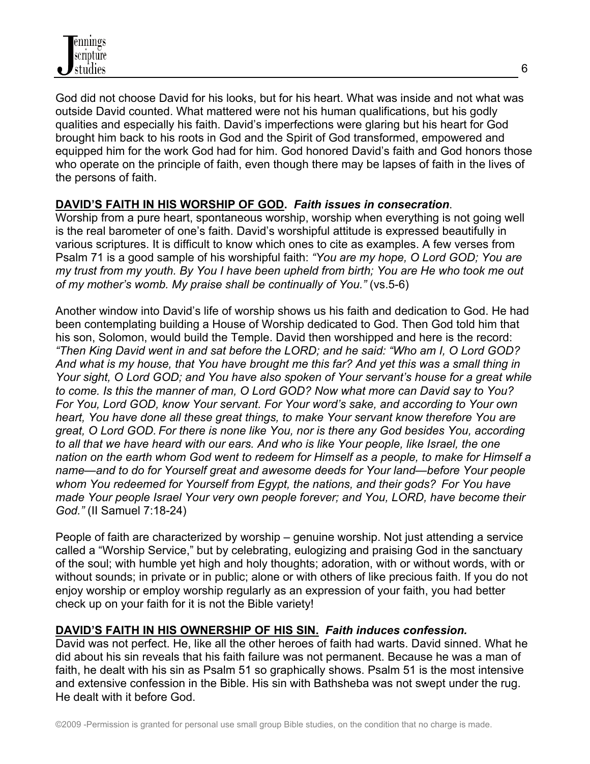God did not choose David for his looks, but for his heart. What was inside and not what was outside David counted. What mattered were not his human qualifications, but his godly qualities and especially his faith. David's imperfections were glaring but his heart for God brought him back to his roots in God and the Spirit of God transformed, empowered and equipped him for the work God had for him. God honored David's faith and God honors those who operate on the principle of faith, even though there may be lapses of faith in the lives of the persons of faith.

## **DAVID'S FAITH IN HIS WORSHIP OF GOD.** *Faith issues in consecration*.

Worship from a pure heart, spontaneous worship, worship when everything is not going well is the real barometer of one's faith. David's worshipful attitude is expressed beautifully in various scriptures. It is difficult to know which ones to cite as examples. A few verses from Psalm 71 is a good sample of his worshipful faith: *"You are my hope, O Lord GOD; You are my trust from my youth. By You I have been upheld from birth; You are He who took me out of my mother's womb. My praise shall be continually of You."* (vs.5-6)

Another window into David's life of worship shows us his faith and dedication to God. He had been contemplating building a House of Worship dedicated to God. Then God told him that his son, Solomon, would build the Temple. David then worshipped and here is the record: *"Then King David went in and sat before the LORD; and he said: "Who am I, O Lord GOD? And what is my house, that You have brought me this far? And yet this was a small thing in Your sight, O Lord GOD; and You have also spoken of Your servant's house for a great while to come. Is this the manner of man, O Lord GOD? Now what more can David say to You? For You, Lord GOD, know Your servant. For Your word's sake, and according to Your own heart, You have done all these great things, to make Your servant know therefore You are great, O Lord GOD. For there is none like You, nor is there any God besides You, according to all that we have heard with our ears. And who is like Your people, like Israel, the one nation on the earth whom God went to redeem for Himself as a people, to make for Himself a name—and to do for Yourself great and awesome deeds for Your land—before Your people whom You redeemed for Yourself from Egypt, the nations, and their gods? For You have made Your people Israel Your very own people forever; and You, LORD, have become their God."* (II Samuel 7:18-24)

People of faith are characterized by worship – genuine worship. Not just attending a service called a "Worship Service," but by celebrating, eulogizing and praising God in the sanctuary of the soul; with humble yet high and holy thoughts; adoration, with or without words, with or without sounds; in private or in public; alone or with others of like precious faith. If you do not enjoy worship or employ worship regularly as an expression of your faith, you had better check up on your faith for it is not the Bible variety!

## **DAVID'S FAITH IN HIS OWNERSHIP OF HIS SIN.** *Faith induces confession.*

David was not perfect. He, like all the other heroes of faith had warts. David sinned. What he did about his sin reveals that his faith failure was not permanent. Because he was a man of faith, he dealt with his sin as Psalm 51 so graphically shows. Psalm 51 is the most intensive and extensive confession in the Bible. His sin with Bathsheba was not swept under the rug. He dealt with it before God.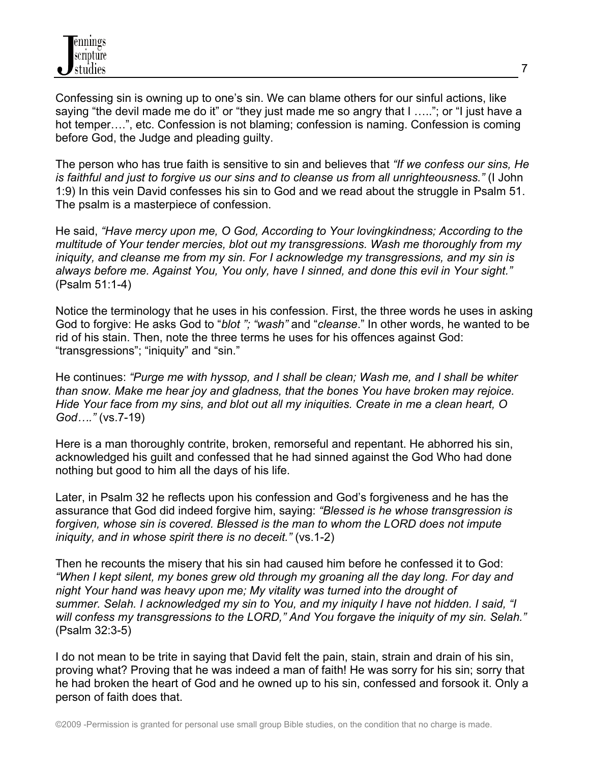Confessing sin is owning up to one's sin. We can blame others for our sinful actions, like saying "the devil made me do it" or "they just made me so angry that I ...."; or "I just have a hot temper….", etc. Confession is not blaming; confession is naming. Confession is coming before God, the Judge and pleading guilty.

The person who has true faith is sensitive to sin and believes that *"If we confess our sins, He is faithful and just to forgive us our sins and to cleanse us from all unrighteousness."* (I John 1:9) In this vein David confesses his sin to God and we read about the struggle in Psalm 51. The psalm is a masterpiece of confession.

He said, *"Have mercy upon me, O God, According to Your lovingkindness; According to the multitude of Your tender mercies, blot out my transgressions. Wash me thoroughly from my iniquity, and cleanse me from my sin. For I acknowledge my transgressions, and my sin is always before me. Against You, You only, have I sinned, and done this evil in Your sight."* (Psalm 51:1-4)

Notice the terminology that he uses in his confession. First, the three words he uses in asking God to forgive: He asks God to "*blot "; "wash"* and "*cleanse*." In other words, he wanted to be rid of his stain. Then, note the three terms he uses for his offences against God: "transgressions"; "iniquity" and "sin."

He continues: *"Purge me with hyssop, and I shall be clean; Wash me, and I shall be whiter than snow. Make me hear joy and gladness, that the bones You have broken may rejoice. Hide Your face from my sins, and blot out all my iniquities. Create in me a clean heart, O God…."* (vs.7-19)

Here is a man thoroughly contrite, broken, remorseful and repentant. He abhorred his sin, acknowledged his guilt and confessed that he had sinned against the God Who had done nothing but good to him all the days of his life.

Later, in Psalm 32 he reflects upon his confession and God's forgiveness and he has the assurance that God did indeed forgive him, saying: *"Blessed is he whose transgression is forgiven, whose sin is covered. Blessed is the man to whom the LORD does not impute iniquity, and in whose spirit there is no deceit."* (vs.1-2)

Then he recounts the misery that his sin had caused him before he confessed it to God: *"When I kept silent, my bones grew old through my groaning all the day long. For day and night Your hand was heavy upon me; My vitality was turned into the drought of summer. Selah. I acknowledged my sin to You, and my iniquity I have not hidden. I said, "I will confess my transgressions to the LORD," And You forgave the iniquity of my sin. Selah."* (Psalm 32:3-5)

I do not mean to be trite in saying that David felt the pain, stain, strain and drain of his sin, proving what? Proving that he was indeed a man of faith! He was sorry for his sin; sorry that he had broken the heart of God and he owned up to his sin, confessed and forsook it. Only a person of faith does that.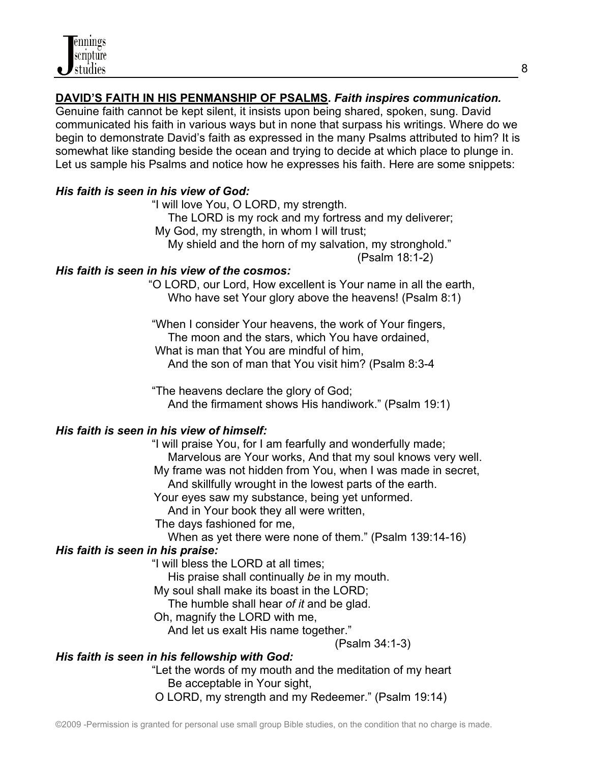# **DAVID'S FAITH IN HIS PENMANSHIP OF PSALMS.** *Faith inspires communication.*

Genuine faith cannot be kept silent, it insists upon being shared, spoken, sung. David communicated his faith in various ways but in none that surpass his writings. Where do we begin to demonstrate David's faith as expressed in the many Psalms attributed to him? It is somewhat like standing beside the ocean and trying to decide at which place to plunge in. Let us sample his Psalms and notice how he expresses his faith. Here are some snippets:

### *His faith is seen in his view of God:*

 "I will love You, O LORD, my strength. The LORD is my rock and my fortress and my deliverer; My God, my strength, in whom I will trust; My shield and the horn of my salvation, my stronghold."

(Psalm 18:1-2)

#### *His faith is seen in his view of the cosmos:*

 "O LORD, our Lord, How excellent is Your name in all the earth, Who have set Your glory above the heavens! (Psalm 8:1)

 "When I consider Your heavens, the work of Your fingers, The moon and the stars, which You have ordained, What is man that You are mindful of him, And the son of man that You visit him? (Psalm 8:3-4

 "The heavens declare the glory of God; And the firmament shows His handiwork." (Psalm 19:1)

#### *His faith is seen in his view of himself:*

 "I will praise You, for I am fearfully and wonderfully made; Marvelous are Your works, And that my soul knows very well. My frame was not hidden from You, when I was made in secret, And skillfully wrought in the lowest parts of the earth.

Your eyes saw my substance, being yet unformed.

And in Your book they all were written,

The days fashioned for me,

When as yet there were none of them." (Psalm 139:14-16)

## *His faith is seen in his praise:*

"I will bless the LORD at all times;

His praise shall continually *be* in my mouth.

My soul shall make its boast in the LORD;

The humble shall hear *of it* and be glad.

Oh, magnify the LORD with me,

And let us exalt His name together."

(Psalm 34:1-3)

## *His faith is seen in his fellowship with God:*

 "Let the words of my mouth and the meditation of my heart Be acceptable in Your sight,

O LORD, my strength and my Redeemer." (Psalm 19:14)